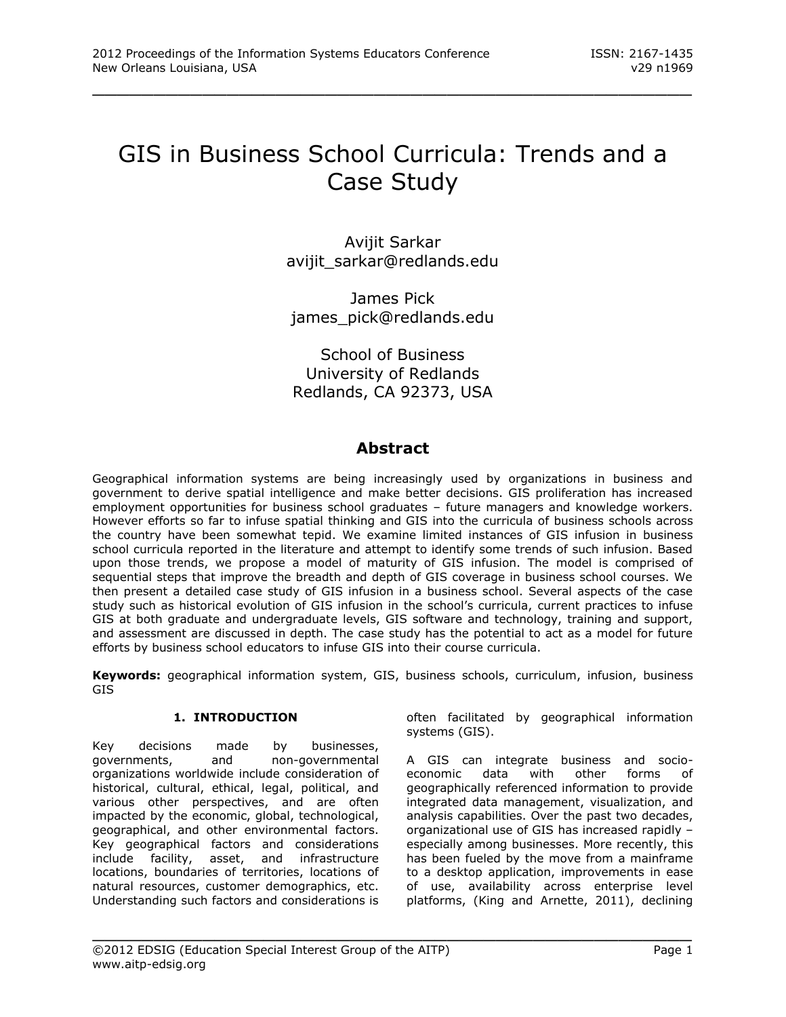# GIS in Business School Curricula: Trends and a Case Study

\_\_\_\_\_\_\_\_\_\_\_\_\_\_\_\_\_\_\_\_\_\_\_\_\_\_\_\_\_\_\_\_\_\_\_\_\_\_\_\_\_\_\_\_\_\_\_\_\_

Avijit Sarkar [avijit\\_sarkar@redlands.edu](mailto:avijit_sarkar@redlands.edu)

James Pick [james\\_pick@redlands.edu](mailto:james_pick@redlands.edu)

School of Business University of Redlands Redlands, CA 92373, USA

# **Abstract**

Geographical information systems are being increasingly used by organizations in business and government to derive spatial intelligence and make better decisions. GIS proliferation has increased employment opportunities for business school graduates – future managers and knowledge workers. However efforts so far to infuse spatial thinking and GIS into the curricula of business schools across the country have been somewhat tepid. We examine limited instances of GIS infusion in business school curricula reported in the literature and attempt to identify some trends of such infusion. Based upon those trends, we propose a model of maturity of GIS infusion. The model is comprised of sequential steps that improve the breadth and depth of GIS coverage in business school courses. We then present a detailed case study of GIS infusion in a business school. Several aspects of the case study such as historical evolution of GIS infusion in the school's curricula, current practices to infuse GIS at both graduate and undergraduate levels, GIS software and technology, training and support, and assessment are discussed in depth. The case study has the potential to act as a model for future efforts by business school educators to infuse GIS into their course curricula.

**Keywords:** geographical information system, GIS, business schools, curriculum, infusion, business GIS

\_\_\_\_\_\_\_\_\_\_\_\_\_\_\_\_\_\_\_\_\_\_\_\_\_\_\_\_\_\_\_\_\_\_\_\_\_\_\_\_\_\_\_\_\_\_\_\_\_

# **1. INTRODUCTION**

Key decisions made by businesses, governments, and non-governmental organizations worldwide include consideration of historical, cultural, ethical, legal, political, and various other perspectives, and are often impacted by the economic, global, technological, geographical, and other environmental factors. Key geographical factors and considerations include facility, asset, and infrastructure locations, boundaries of territories, locations of natural resources, customer demographics, etc. Understanding such factors and considerations is often facilitated by geographical information systems (GIS).

A GIS can integrate business and socioeconomic data with other forms of geographically referenced information to provide integrated data management, visualization, and analysis capabilities. Over the past two decades, organizational use of GIS has increased rapidly – especially among businesses. More recently, this has been fueled by the move from a mainframe to a desktop application, improvements in ease of use, availability across enterprise level platforms, (King and Arnette, 2011), declining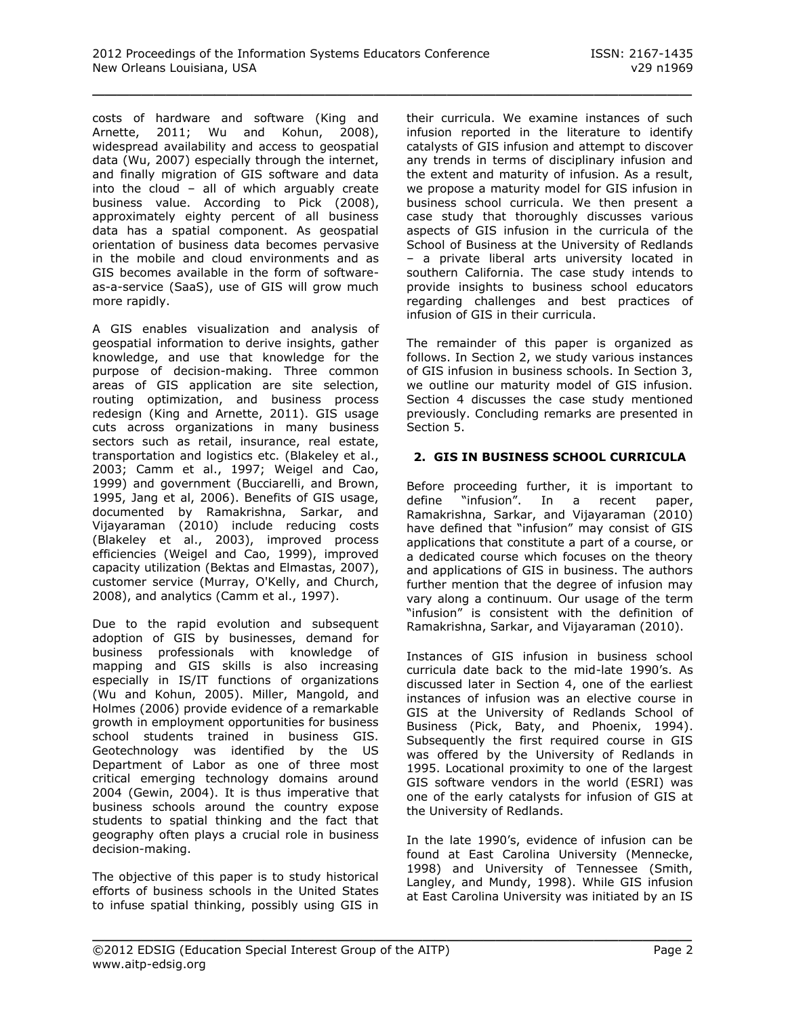costs of hardware and software (King and Arnette, 2011; Wu and Kohun, 2008), widespread availability and access to geospatial data (Wu, 2007) especially through the internet, and finally migration of GIS software and data into the cloud – all of which arguably create business value. According to Pick (2008), approximately eighty percent of all business data has a spatial component. As geospatial orientation of business data becomes pervasive in the mobile and cloud environments and as GIS becomes available in the form of softwareas-a-service (SaaS), use of GIS will grow much more rapidly.

A GIS enables visualization and analysis of geospatial information to derive insights, gather knowledge, and use that knowledge for the purpose of decision-making. Three common areas of GIS application are site selection, routing optimization, and business process redesign (King and Arnette, 2011). GIS usage cuts across organizations in many business sectors such as retail, insurance, real estate, transportation and logistics etc. (Blakeley et al., 2003; Camm et al., 1997; Weigel and Cao, 1999) and government (Bucciarelli, and Brown, 1995, Jang et al, 2006). Benefits of GIS usage, documented by Ramakrishna, Sarkar, and Vijayaraman (2010) include reducing costs (Blakeley et al., 2003), improved process efficiencies (Weigel and Cao, 1999), improved capacity utilization (Bektas and Elmastas, 2007), customer service (Murray, O'Kelly, and Church, 2008), and analytics (Camm et al., 1997).

Due to the rapid evolution and subsequent adoption of GIS by businesses, demand for business professionals with knowledge of mapping and GIS skills is also increasing especially in IS/IT functions of organizations (Wu and Kohun, 2005). Miller, Mangold, and Holmes (2006) provide evidence of a remarkable growth in employment opportunities for business school students trained in business GIS. Geotechnology was identified by the US Department of Labor as one of three most critical emerging technology domains around 2004 (Gewin, 2004). It is thus imperative that business schools around the country expose students to spatial thinking and the fact that geography often plays a crucial role in business decision-making.

The objective of this paper is to study historical efforts of business schools in the United States to infuse spatial thinking, possibly using GIS in their curricula. We examine instances of such infusion reported in the literature to identify catalysts of GIS infusion and attempt to discover any trends in terms of disciplinary infusion and the extent and maturity of infusion. As a result, we propose a maturity model for GIS infusion in business school curricula. We then present a case study that thoroughly discusses various aspects of GIS infusion in the curricula of the School of Business at the University of Redlands – a private liberal arts university located in southern California. The case study intends to provide insights to business school educators regarding challenges and best practices of infusion of GIS in their curricula.

The remainder of this paper is organized as follows. In Section 2, we study various instances of GIS infusion in business schools. In Section 3, we outline our maturity model of GIS infusion. Section 4 discusses the case study mentioned previously. Concluding remarks are presented in Section 5.

# **2. GIS IN BUSINESS SCHOOL CURRICULA**

Before proceeding further, it is important to define "infusion". In a recent paper, Ramakrishna, Sarkar, and Vijayaraman (2010) have defined that "infusion" may consist of GIS applications that constitute a part of a course, or a dedicated course which focuses on the theory and applications of GIS in business. The authors further mention that the degree of infusion may vary along a continuum. Our usage of the term "infusion" is consistent with the definition of Ramakrishna, Sarkar, and Vijayaraman (2010).

Instances of GIS infusion in business school curricula date back to the mid-late 1990's. As discussed later in Section 4, one of the earliest instances of infusion was an elective course in GIS at the University of Redlands School of Business (Pick, Baty, and Phoenix, 1994). Subsequently the first required course in GIS was offered by the University of Redlands in 1995. Locational proximity to one of the largest GIS software vendors in the world (ESRI) was one of the early catalysts for infusion of GIS at the University of Redlands.

In the late 1990's, evidence of infusion can be found at East Carolina University (Mennecke, 1998) and University of Tennessee (Smith, Langley, and Mundy, 1998). While GIS infusion at East Carolina University was initiated by an IS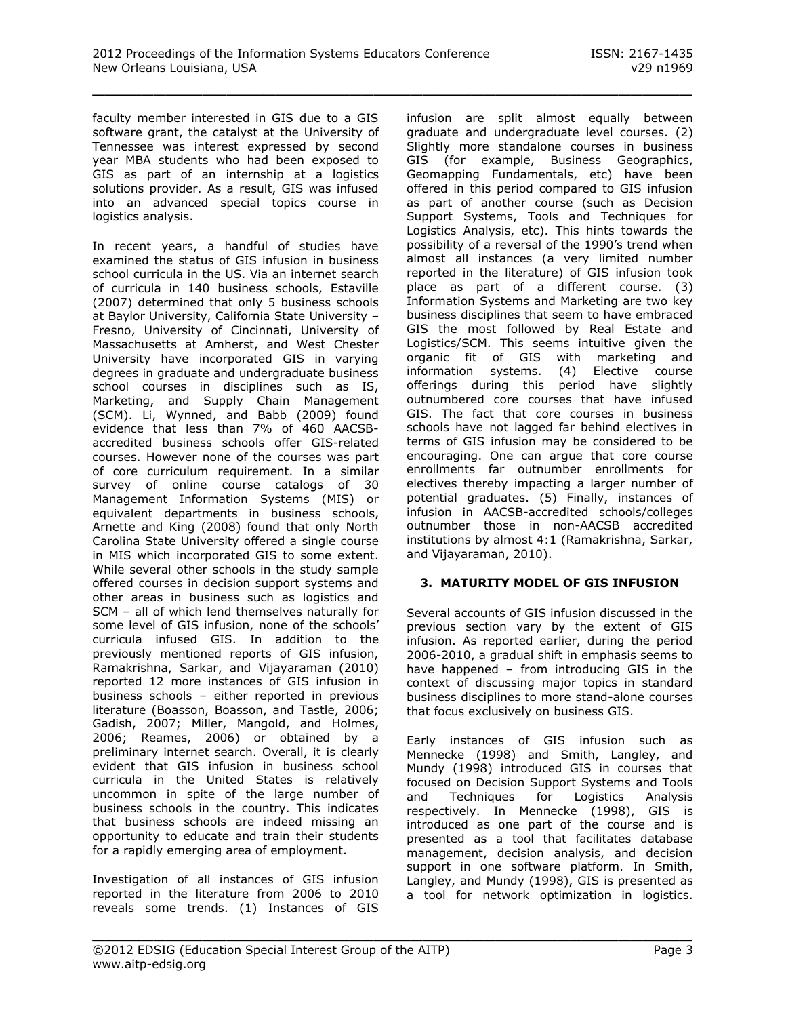faculty member interested in GIS due to a GIS software grant, the catalyst at the University of Tennessee was interest expressed by second year MBA students who had been exposed to GIS as part of an internship at a logistics solutions provider. As a result, GIS was infused into an advanced special topics course in logistics analysis.

In recent years, a handful of studies have examined the status of GIS infusion in business school curricula in the US. Via an internet search of curricula in 140 business schools, Estaville (2007) determined that only 5 business schools at Baylor University, California State University – Fresno, University of Cincinnati, University of Massachusetts at Amherst, and West Chester University have incorporated GIS in varying degrees in graduate and undergraduate business school courses in disciplines such as IS, Marketing, and Supply Chain Management (SCM). Li, Wynned, and Babb (2009) found evidence that less than 7% of 460 AACSBaccredited business schools offer GIS-related courses. However none of the courses was part of core curriculum requirement. In a similar survey of online course catalogs of 30 Management Information Systems (MIS) or equivalent departments in business schools, Arnette and King (2008) found that only North Carolina State University offered a single course in MIS which incorporated GIS to some extent. While several other schools in the study sample offered courses in decision support systems and other areas in business such as logistics and SCM – all of which lend themselves naturally for some level of GIS infusion, none of the schools' curricula infused GIS. In addition to the previously mentioned reports of GIS infusion, Ramakrishna, Sarkar, and Vijayaraman (2010) reported 12 more instances of GIS infusion in business schools – either reported in previous literature (Boasson, Boasson, and Tastle, 2006; Gadish, 2007; Miller, Mangold, and Holmes, 2006; Reames, 2006) or obtained by a preliminary internet search. Overall, it is clearly evident that GIS infusion in business school curricula in the United States is relatively uncommon in spite of the large number of business schools in the country. This indicates that business schools are indeed missing an opportunity to educate and train their students for a rapidly emerging area of employment.

Investigation of all instances of GIS infusion reported in the literature from 2006 to 2010 reveals some trends. (1) Instances of GIS infusion are split almost equally between graduate and undergraduate level courses. (2) Slightly more standalone courses in business GIS (for example, Business Geographics, Geomapping Fundamentals, etc) have been offered in this period compared to GIS infusion as part of another course (such as Decision Support Systems, Tools and Techniques for Logistics Analysis, etc). This hints towards the possibility of a reversal of the 1990's trend when almost all instances (a very limited number reported in the literature) of GIS infusion took place as part of a different course. (3) Information Systems and Marketing are two key business disciplines that seem to have embraced GIS the most followed by Real Estate and Logistics/SCM. This seems intuitive given the organic fit of GIS with marketing and information systems. (4) Elective course offerings during this period have slightly outnumbered core courses that have infused GIS. The fact that core courses in business schools have not lagged far behind electives in terms of GIS infusion may be considered to be encouraging. One can argue that core course enrollments far outnumber enrollments for electives thereby impacting a larger number of potential graduates. (5) Finally, instances of infusion in AACSB-accredited schools/colleges outnumber those in non-AACSB accredited institutions by almost 4:1 (Ramakrishna, Sarkar, and Vijayaraman, 2010).

# **3. MATURITY MODEL OF GIS INFUSION**

Several accounts of GIS infusion discussed in the previous section vary by the extent of GIS infusion. As reported earlier, during the period 2006-2010, a gradual shift in emphasis seems to have happened – from introducing GIS in the context of discussing major topics in standard business disciplines to more stand-alone courses that focus exclusively on business GIS.

Early instances of GIS infusion such as Mennecke (1998) and Smith, Langley, and Mundy (1998) introduced GIS in courses that focused on Decision Support Systems and Tools and Techniques for Logistics Analysis respectively. In Mennecke (1998), GIS is introduced as one part of the course and is presented as a tool that facilitates database management, decision analysis, and decision support in one software platform. In Smith, Langley, and Mundy (1998), GIS is presented as a tool for network optimization in logistics.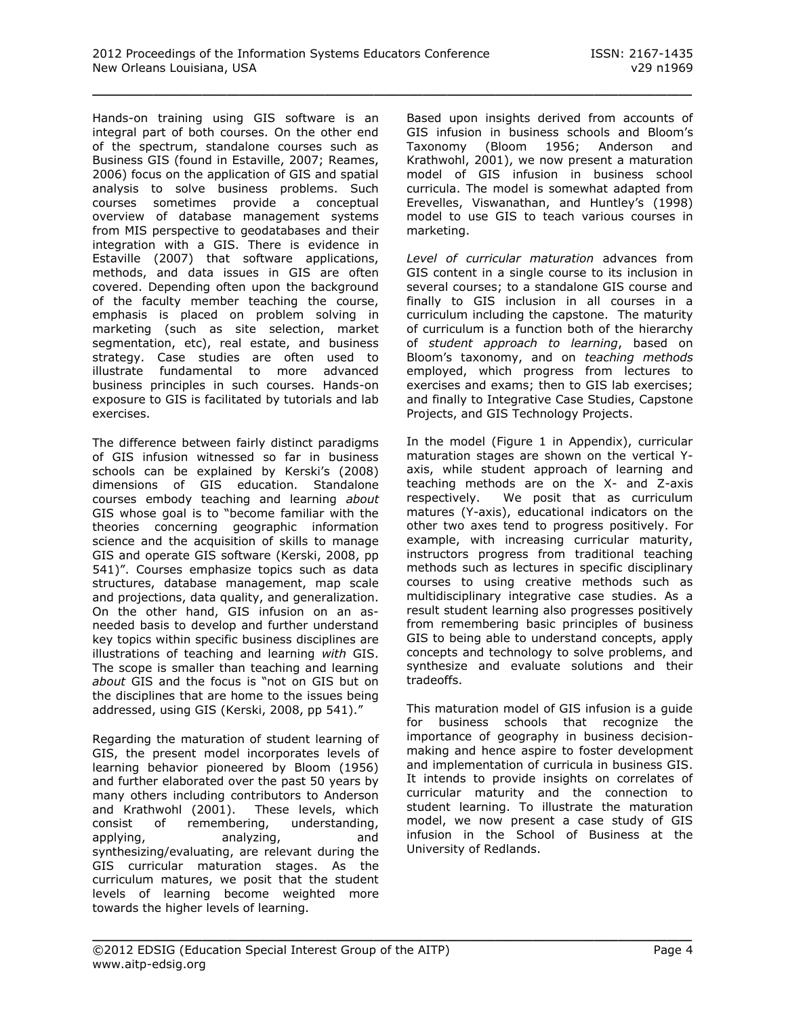Hands-on training using GIS software is an integral part of both courses. On the other end of the spectrum, standalone courses such as Business GIS (found in Estaville, 2007; Reames, 2006) focus on the application of GIS and spatial analysis to solve business problems. Such courses sometimes provide a conceptual overview of database management systems from MIS perspective to geodatabases and their integration with a GIS. There is evidence in Estaville (2007) that software applications, methods, and data issues in GIS are often covered. Depending often upon the background of the faculty member teaching the course, emphasis is placed on problem solving in marketing (such as site selection, market segmentation, etc), real estate, and business strategy. Case studies are often used to illustrate fundamental to more advanced business principles in such courses. Hands-on exposure to GIS is facilitated by tutorials and lab exercises.

The difference between fairly distinct paradigms of GIS infusion witnessed so far in business schools can be explained by Kerski's (2008) dimensions of GIS education. Standalone courses embody teaching and learning *about* GIS whose goal is to "become familiar with the theories concerning geographic information science and the acquisition of skills to manage GIS and operate GIS software (Kerski, 2008, pp 541)". Courses emphasize topics such as data structures, database management, map scale and projections, data quality, and generalization. On the other hand, GIS infusion on an asneeded basis to develop and further understand key topics within specific business disciplines are illustrations of teaching and learning *with* GIS. The scope is smaller than teaching and learning *about* GIS and the focus is "not on GIS but on the disciplines that are home to the issues being addressed, using GIS (Kerski, 2008, pp 541)."

Regarding the maturation of student learning of GIS, the present model incorporates levels of learning behavior pioneered by Bloom (1956) and further elaborated over the past 50 years by many others including contributors to Anderson and Krathwohl (2001). These levels, which consist of remembering, understanding, applying, analyzing, and synthesizing/evaluating, are relevant during the GIS curricular maturation stages. As the curriculum matures, we posit that the student levels of learning become weighted more towards the higher levels of learning.

Based upon insights derived from accounts of GIS infusion in business schools and Bloom's Taxonomy (Bloom 1956; Anderson and Krathwohl, 2001), we now present a maturation model of GIS infusion in business school curricula. The model is somewhat adapted from Erevelles, Viswanathan, and Huntley's (1998) model to use GIS to teach various courses in marketing.

*Level of curricular maturation* advances from GIS content in a single course to its inclusion in several courses; to a standalone GIS course and finally to GIS inclusion in all courses in a curriculum including the capstone. The maturity of curriculum is a function both of the hierarchy of *student approach to learning*, based on Bloom's taxonomy, and on *teaching methods* employed, which progress from lectures to exercises and exams; then to GIS lab exercises; and finally to Integrative Case Studies, Capstone Projects, and GIS Technology Projects.

In the model (Figure 1 in Appendix), curricular maturation stages are shown on the vertical Yaxis, while student approach of learning and teaching methods are on the X- and Z-axis respectively. We posit that as curriculum matures (Y-axis), educational indicators on the other two axes tend to progress positively. For example, with increasing curricular maturity, instructors progress from traditional teaching methods such as lectures in specific disciplinary courses to using creative methods such as multidisciplinary integrative case studies. As a result student learning also progresses positively from remembering basic principles of business GIS to being able to understand concepts, apply concepts and technology to solve problems, and synthesize and evaluate solutions and their tradeoffs.

This maturation model of GIS infusion is a guide for business schools that recognize the importance of geography in business decisionmaking and hence aspire to foster development and implementation of curricula in business GIS. It intends to provide insights on correlates of curricular maturity and the connection to student learning. To illustrate the maturation model, we now present a case study of GIS infusion in the School of Business at the University of Redlands.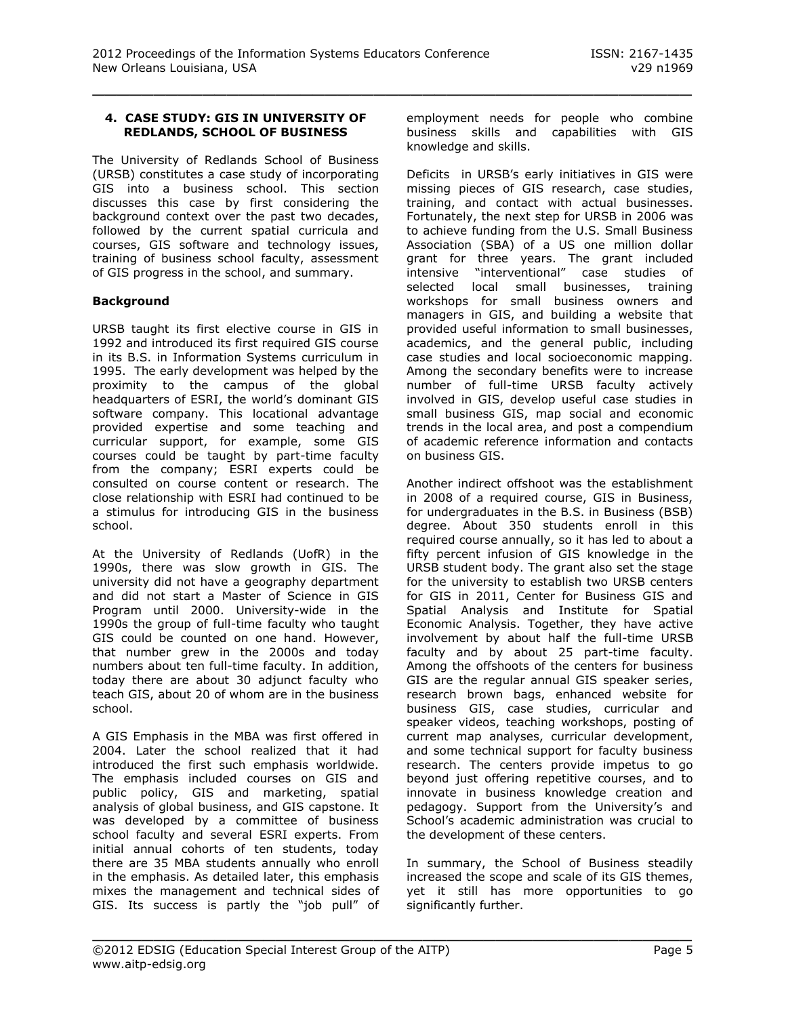# **4. CASE STUDY: GIS IN UNIVERSITY OF REDLANDS, SCHOOL OF BUSINESS**

The University of Redlands School of Business (URSB) constitutes a case study of incorporating GIS into a business school. This section discusses this case by first considering the background context over the past two decades, followed by the current spatial curricula and courses, GIS software and technology issues, training of business school faculty, assessment of GIS progress in the school, and summary.

# **Background**

URSB taught its first elective course in GIS in 1992 and introduced its first required GIS course in its B.S. in Information Systems curriculum in 1995. The early development was helped by the proximity to the campus of the global headquarters of ESRI, the world's dominant GIS software company. This locational advantage provided expertise and some teaching and curricular support, for example, some GIS courses could be taught by part-time faculty from the company; ESRI experts could be consulted on course content or research. The close relationship with ESRI had continued to be a stimulus for introducing GIS in the business school.

At the University of Redlands (UofR) in the 1990s, there was slow growth in GIS. The university did not have a geography department and did not start a Master of Science in GIS Program until 2000. University-wide in the 1990s the group of full-time faculty who taught GIS could be counted on one hand. However, that number grew in the 2000s and today numbers about ten full-time faculty. In addition, today there are about 30 adjunct faculty who teach GIS, about 20 of whom are in the business school.

A GIS Emphasis in the MBA was first offered in 2004. Later the school realized that it had introduced the first such emphasis worldwide. The emphasis included courses on GIS and public policy, GIS and marketing, spatial analysis of global business, and GIS capstone. It was developed by a committee of business school faculty and several ESRI experts. From initial annual cohorts of ten students, today there are 35 MBA students annually who enroll in the emphasis. As detailed later, this emphasis mixes the management and technical sides of GIS. Its success is partly the "job pull" of

employment needs for people who combine business skills and capabilities with GIS knowledge and skills.

Deficits in URSB's early initiatives in GIS were missing pieces of GIS research, case studies, training, and contact with actual businesses. Fortunately, the next step for URSB in 2006 was to achieve funding from the U.S. Small Business Association (SBA) of a US one million dollar grant for three years. The grant included intensive "interventional" case studies of selected local small businesses, training workshops for small business owners and managers in GIS, and building a website that provided useful information to small businesses, academics, and the general public, including case studies and local socioeconomic mapping. Among the secondary benefits were to increase number of full-time URSB faculty actively involved in GIS, develop useful case studies in small business GIS, map social and economic trends in the local area, and post a compendium of academic reference information and contacts on business GIS.

Another indirect offshoot was the establishment in 2008 of a required course, GIS in Business, for undergraduates in the B.S. in Business (BSB) degree. About 350 students enroll in this required course annually, so it has led to about a fifty percent infusion of GIS knowledge in the URSB student body. The grant also set the stage for the university to establish two URSB centers for GIS in 2011, Center for Business GIS and Spatial Analysis and Institute for Spatial Economic Analysis. Together, they have active involvement by about half the full-time URSB faculty and by about 25 part-time faculty. Among the offshoots of the centers for business GIS are the regular annual GIS speaker series, research brown bags, enhanced website for business GIS, case studies, curricular and speaker videos, teaching workshops, posting of current map analyses, curricular development, and some technical support for faculty business research. The centers provide impetus to go beyond just offering repetitive courses, and to innovate in business knowledge creation and pedagogy. Support from the University's and School's academic administration was crucial to the development of these centers.

In summary, the School of Business steadily increased the scope and scale of its GIS themes, yet it still has more opportunities to go significantly further.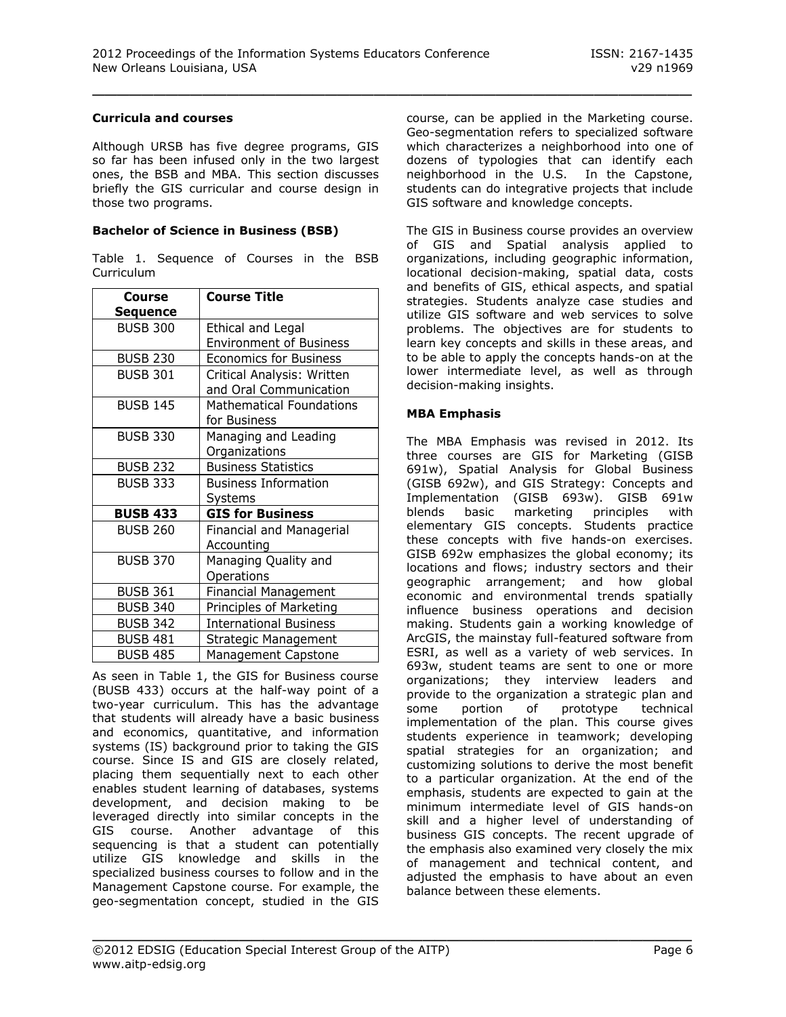#### **Curricula and courses**

Although URSB has five degree programs, GIS so far has been infused only in the two largest ones, the BSB and MBA. This section discusses briefly the GIS curricular and course design in those two programs.

#### **Bachelor of Science in Business (BSB)**

Table 1. Sequence of Courses in the BSB Curriculum

| Course          | <b>Course Title</b>             |
|-----------------|---------------------------------|
| Sequence        |                                 |
| <b>BUSB 300</b> | Ethical and Legal               |
|                 | <b>Environment of Business</b>  |
| <b>BUSB 230</b> | <b>Economics for Business</b>   |
| <b>BUSB 301</b> | Critical Analysis: Written      |
|                 | and Oral Communication          |
| <b>BUSB 145</b> | <b>Mathematical Foundations</b> |
|                 | for Business                    |
| <b>BUSB 330</b> | Managing and Leading            |
|                 | Organizations                   |
| <b>BUSB 232</b> | <b>Business Statistics</b>      |
| <b>BUSB 333</b> | <b>Business Information</b>     |
|                 | Systems                         |
| <b>BUSB 433</b> | <b>GIS for Business</b>         |
| <b>BUSB 260</b> | Financial and Managerial        |
|                 | Accounting                      |
| <b>BUSB 370</b> | Managing Quality and            |
|                 | Operations                      |
| <b>BUSB 361</b> | <b>Financial Management</b>     |
| <b>BUSB 340</b> | Principles of Marketing         |
| <b>BUSB 342</b> | <b>International Business</b>   |
| BUSB 481        | Strategic Management            |
| <b>BUSB 485</b> | <b>Management Capstone</b>      |

As seen in Table 1, the GIS for Business course (BUSB 433) occurs at the half-way point of a two-year curriculum. This has the advantage that students will already have a basic business and economics, quantitative, and information systems (IS) background prior to taking the GIS course. Since IS and GIS are closely related, placing them sequentially next to each other enables student learning of databases, systems development, and decision making to be leveraged directly into similar concepts in the GIS course. Another advantage of this sequencing is that a student can potentially utilize GIS knowledge and skills in the specialized business courses to follow and in the Management Capstone course. For example, the geo-segmentation concept, studied in the GIS

course, can be applied in the Marketing course. Geo-segmentation refers to specialized software which characterizes a neighborhood into one of dozens of typologies that can identify each neighborhood in the U.S. In the Capstone, students can do integrative projects that include GIS software and knowledge concepts.

The GIS in Business course provides an overview of GIS and Spatial analysis applied to organizations, including geographic information, locational decision-making, spatial data, costs and benefits of GIS, ethical aspects, and spatial strategies. Students analyze case studies and utilize GIS software and web services to solve problems. The objectives are for students to learn key concepts and skills in these areas, and to be able to apply the concepts hands-on at the lower intermediate level, as well as through decision-making insights.

#### **MBA Emphasis**

The MBA Emphasis was revised in 2012. Its three courses are GIS for Marketing (GISB 691w), Spatial Analysis for Global Business (GISB 692w), and GIS Strategy: Concepts and Implementation (GISB 693w). GISB 691w blends basic marketing principles with elementary GIS concepts. Students practice these concepts with five hands-on exercises. GISB 692w emphasizes the global economy; its locations and flows; industry sectors and their geographic arrangement; and how global economic and environmental trends spatially influence business operations and decision making. Students gain a working knowledge of ArcGIS, the mainstay full-featured software from ESRI, as well as a variety of web services. In 693w, student teams are sent to one or more organizations; they interview leaders and provide to the organization a strategic plan and some portion of prototype technical implementation of the plan. This course gives students experience in teamwork; developing spatial strategies for an organization; and customizing solutions to derive the most benefit to a particular organization. At the end of the emphasis, students are expected to gain at the minimum intermediate level of GIS hands-on skill and a higher level of understanding of business GIS concepts. The recent upgrade of the emphasis also examined very closely the mix of management and technical content, and adjusted the emphasis to have about an even balance between these elements.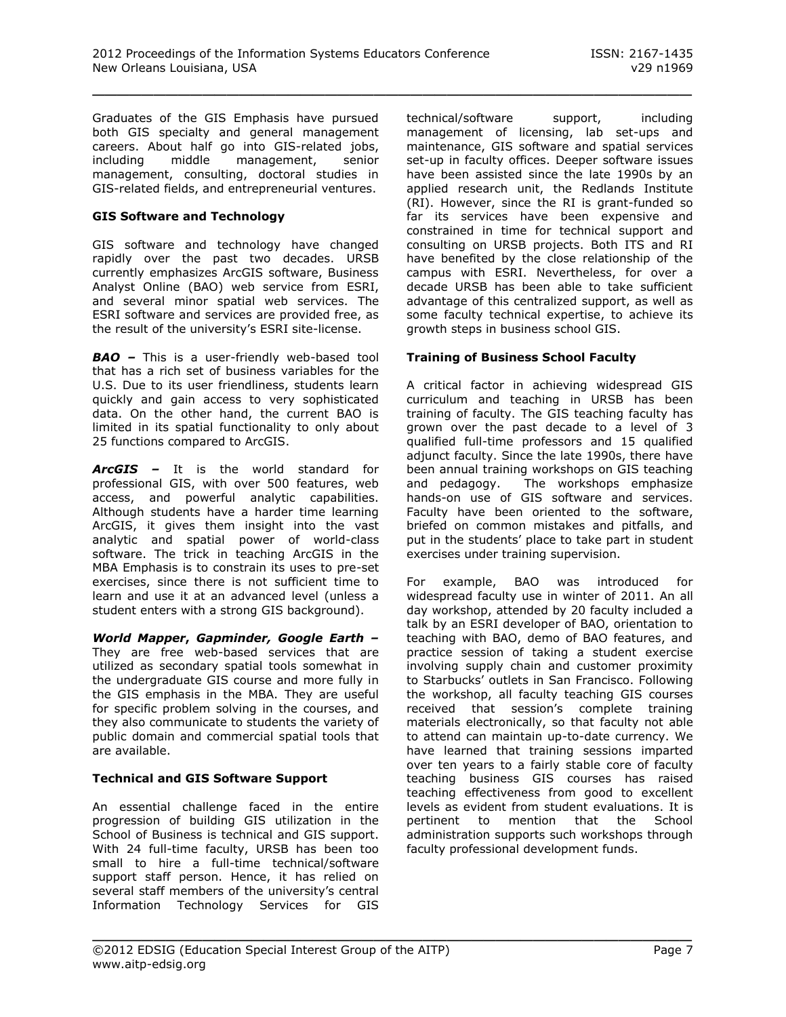Graduates of the GIS Emphasis have pursued both GIS specialty and general management careers. About half go into GIS-related jobs, including middle management, senior management, consulting, doctoral studies in GIS-related fields, and entrepreneurial ventures.

# **GIS Software and Technology**

GIS software and technology have changed rapidly over the past two decades. URSB currently emphasizes ArcGIS software, Business Analyst Online (BAO) web service from ESRI, and several minor spatial web services. The ESRI software and services are provided free, as the result of the university's ESRI site-license.

*BAO –* This is a user-friendly web-based tool that has a rich set of business variables for the U.S. Due to its user friendliness, students learn quickly and gain access to very sophisticated data. On the other hand, the current BAO is limited in its spatial functionality to only about 25 functions compared to ArcGIS.

*ArcGIS –* It is the world standard for professional GIS, with over 500 features, web access, and powerful analytic capabilities. Although students have a harder time learning ArcGIS, it gives them insight into the vast analytic and spatial power of world-class software. The trick in teaching ArcGIS in the MBA Emphasis is to constrain its uses to pre-set exercises, since there is not sufficient time to learn and use it at an advanced level (unless a student enters with a strong GIS background).

*World Mapper***,** *Gapminder, Google Earth –* They are free web-based services that are utilized as secondary spatial tools somewhat in the undergraduate GIS course and more fully in the GIS emphasis in the MBA. They are useful for specific problem solving in the courses, and they also communicate to students the variety of public domain and commercial spatial tools that are available.

# **Technical and GIS Software Support**

An essential challenge faced in the entire progression of building GIS utilization in the School of Business is technical and GIS support. With 24 full-time faculty, URSB has been too small to hire a full-time technical/software support staff person. Hence, it has relied on several staff members of the university's central Information Technology Services for GIS technical/software support, including management of licensing, lab set-ups and maintenance, GIS software and spatial services set-up in faculty offices. Deeper software issues have been assisted since the late 1990s by an applied research unit, the Redlands Institute (RI). However, since the RI is grant-funded so far its services have been expensive and constrained in time for technical support and consulting on URSB projects. Both ITS and RI have benefited by the close relationship of the campus with ESRI. Nevertheless, for over a decade URSB has been able to take sufficient advantage of this centralized support, as well as some faculty technical expertise, to achieve its growth steps in business school GIS.

# **Training of Business School Faculty**

A critical factor in achieving widespread GIS curriculum and teaching in URSB has been training of faculty. The GIS teaching faculty has grown over the past decade to a level of 3 qualified full-time professors and 15 qualified adjunct faculty. Since the late 1990s, there have been annual training workshops on GIS teaching and pedagogy. The workshops emphasize hands-on use of GIS software and services. Faculty have been oriented to the software, briefed on common mistakes and pitfalls, and put in the students' place to take part in student exercises under training supervision.

For example, BAO was introduced for widespread faculty use in winter of 2011. An all day workshop, attended by 20 faculty included a talk by an ESRI developer of BAO, orientation to teaching with BAO, demo of BAO features, and practice session of taking a student exercise involving supply chain and customer proximity to Starbucks' outlets in San Francisco. Following the workshop, all faculty teaching GIS courses received that session's complete training materials electronically, so that faculty not able to attend can maintain up-to-date currency. We have learned that training sessions imparted over ten years to a fairly stable core of faculty teaching business GIS courses has raised teaching effectiveness from good to excellent levels as evident from student evaluations. It is pertinent to mention that the School administration supports such workshops through faculty professional development funds.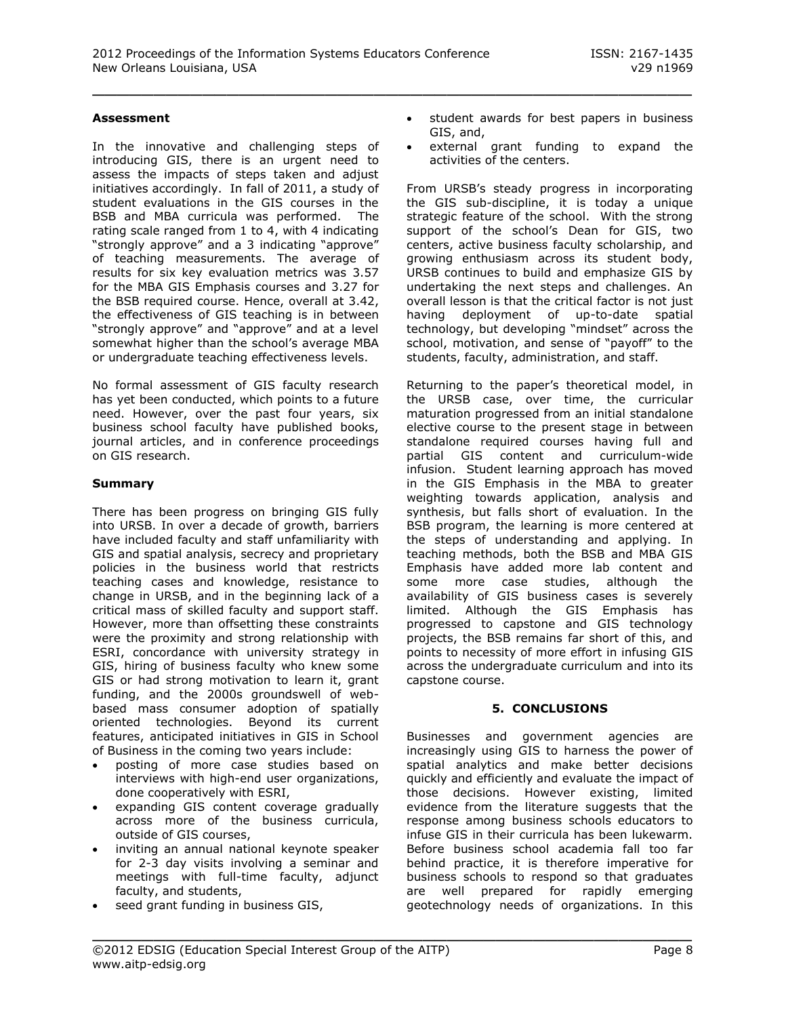#### **Assessment**

In the innovative and challenging steps of introducing GIS, there is an urgent need to assess the impacts of steps taken and adjust initiatives accordingly. In fall of 2011, a study of student evaluations in the GIS courses in the BSB and MBA curricula was performed. The rating scale ranged from 1 to 4, with 4 indicating "strongly approve" and a 3 indicating "approve" of teaching measurements. The average of results for six key evaluation metrics was 3.57 for the MBA GIS Emphasis courses and 3.27 for the BSB required course. Hence, overall at 3.42, the effectiveness of GIS teaching is in between "strongly approve" and "approve" and at a level somewhat higher than the school's average MBA or undergraduate teaching effectiveness levels.

No formal assessment of GIS faculty research has yet been conducted, which points to a future need. However, over the past four years, six business school faculty have published books, journal articles, and in conference proceedings on GIS research.

#### **Summary**

There has been progress on bringing GIS fully into URSB. In over a decade of growth, barriers have included faculty and staff unfamiliarity with GIS and spatial analysis, secrecy and proprietary policies in the business world that restricts teaching cases and knowledge, resistance to change in URSB, and in the beginning lack of a critical mass of skilled faculty and support staff. However, more than offsetting these constraints were the proximity and strong relationship with ESRI, concordance with university strategy in GIS, hiring of business faculty who knew some GIS or had strong motivation to learn it, grant funding, and the 2000s groundswell of webbased mass consumer adoption of spatially oriented technologies. Beyond its current features, anticipated initiatives in GIS in School of Business in the coming two years include:

- posting of more case studies based on interviews with high-end user organizations, done cooperatively with ESRI,
- expanding GIS content coverage gradually across more of the business curricula, outside of GIS courses,
- inviting an annual national keynote speaker for 2-3 day visits involving a seminar and meetings with full-time faculty, adjunct faculty, and students,
- seed grant funding in business GIS,
- student awards for best papers in business GIS, and,
- external grant funding to expand the activities of the centers.

From URSB's steady progress in incorporating the GIS sub-discipline, it is today a unique strategic feature of the school. With the strong support of the school's Dean for GIS, two centers, active business faculty scholarship, and growing enthusiasm across its student body, URSB continues to build and emphasize GIS by undertaking the next steps and challenges. An overall lesson is that the critical factor is not just having deployment of up-to-date spatial technology, but developing "mindset" across the school, motivation, and sense of "payoff" to the students, faculty, administration, and staff.

Returning to the paper's theoretical model, in the URSB case, over time, the curricular maturation progressed from an initial standalone elective course to the present stage in between standalone required courses having full and partial GIS content and curriculum-wide infusion. Student learning approach has moved in the GIS Emphasis in the MBA to greater weighting towards application, analysis and synthesis, but falls short of evaluation. In the BSB program, the learning is more centered at the steps of understanding and applying. In teaching methods, both the BSB and MBA GIS Emphasis have added more lab content and some more case studies, although the availability of GIS business cases is severely limited. Although the GIS Emphasis has progressed to capstone and GIS technology projects, the BSB remains far short of this, and points to necessity of more effort in infusing GIS across the undergraduate curriculum and into its capstone course.

#### **5. CONCLUSIONS**

Businesses and government agencies are increasingly using GIS to harness the power of spatial analytics and make better decisions quickly and efficiently and evaluate the impact of those decisions. However existing, limited evidence from the literature suggests that the response among business schools educators to infuse GIS in their curricula has been lukewarm. Before business school academia fall too far behind practice, it is therefore imperative for business schools to respond so that graduates are well prepared for rapidly emerging geotechnology needs of organizations. In this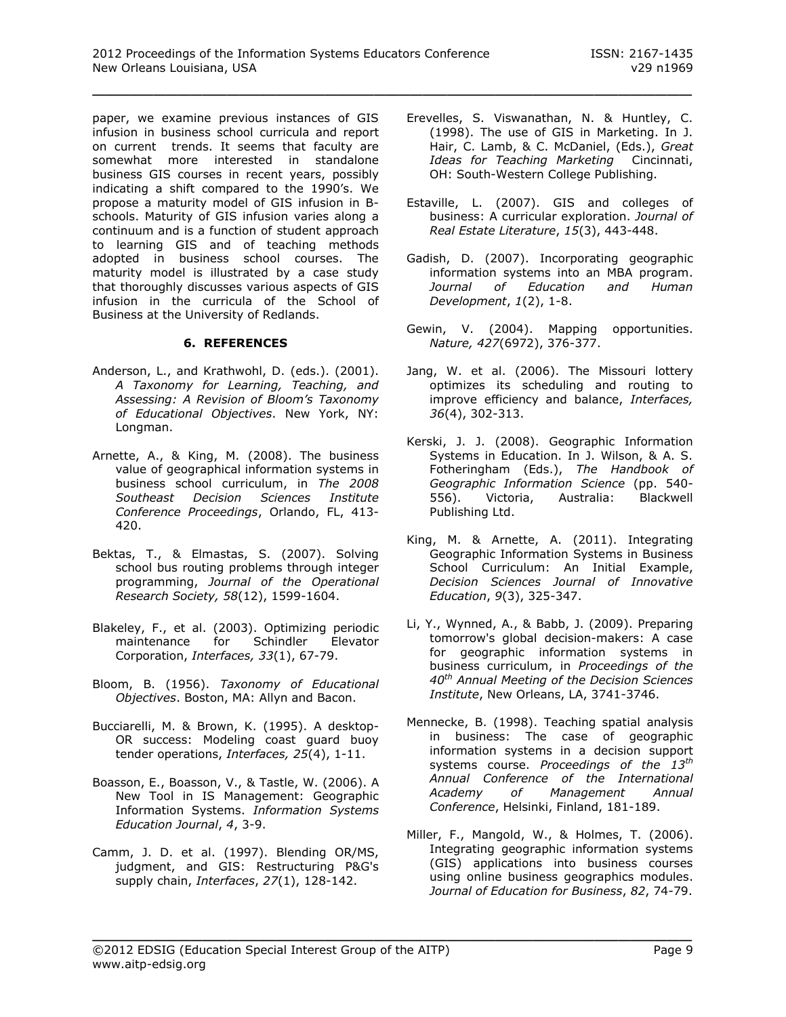paper, we examine previous instances of GIS infusion in business school curricula and report on current trends. It seems that faculty are somewhat more interested in standalone business GIS courses in recent years, possibly indicating a shift compared to the 1990's. We propose a maturity model of GIS infusion in Bschools. Maturity of GIS infusion varies along a continuum and is a function of student approach to learning GIS and of teaching methods adopted in business school courses. The maturity model is illustrated by a case study that thoroughly discusses various aspects of GIS infusion in the curricula of the School of Business at the University of Redlands.

#### **6. REFERENCES**

- Anderson, L., and Krathwohl, D. (eds.). (2001). *A Taxonomy for Learning, Teaching, and Assessing: A Revision of Bloom's Taxonomy of Educational Objectives*. New York, NY: Longman.
- Arnette, A., & King, M. (2008). The business value of geographical information systems in business school curriculum, in *The 2008 Southeast Decision Sciences Institute Conference Proceedings*, Orlando, FL, 413- 420.
- Bektas, T., & Elmastas, S. (2007). Solving school bus routing problems through integer programming, *Journal of the Operational Research Society, 58*(12), 1599-1604.
- Blakeley, F., et al. (2003). Optimizing periodic maintenance for Schindler Elevator Corporation, *Interfaces, 33*(1), 67-79.
- Bloom, B. (1956). *Taxonomy of Educational Objectives*. Boston, MA: Allyn and Bacon.
- Bucciarelli, M. & Brown, K. (1995). A desktop-OR success: Modeling coast guard buoy tender operations, *Interfaces, 25*(4), 1-11.
- Boasson, E., Boasson, V., & Tastle, W. (2006). A New Tool in IS Management: Geographic Information Systems. *Information Systems Education Journal*, *4*, 3-9.
- Camm, J. D. et al. (1997). Blending OR/MS, judgment, and GIS: Restructuring P&G's supply chain, *Interfaces*, *27*(1), 128-142.
- Erevelles, S. Viswanathan, N. & Huntley, C. (1998). The use of GIS in Marketing. In J. Hair, C. Lamb, & C. McDaniel, (Eds.), *Great Ideas for Teaching Marketing* Cincinnati, OH: South-Western College Publishing.
- Estaville, L. (2007). GIS and colleges of business: A curricular exploration. *Journal of Real Estate Literature*, *15*(3), 443-448.
- Gadish, D. (2007). Incorporating geographic information systems into an MBA program. *Journal of Education and Human Development*, *1*(2), 1-8.
- Gewin, V. (2004). Mapping opportunities. *Nature, 427*(6972), 376-377.
- Jang, W. et al. (2006). The Missouri lottery optimizes its scheduling and routing to improve efficiency and balance, *Interfaces, 36*(4), 302-313.
- Kerski, J. J. (2008). Geographic Information Systems in Education. In J. Wilson, & A. S. Fotheringham (Eds.), *The Handbook of Geographic Information Science* (pp. 540- 556). Victoria, Australia: Blackwell Publishing Ltd.
- King, M. & Arnette, A. (2011). Integrating Geographic Information Systems in Business School Curriculum: An Initial Example, *Decision Sciences Journal of Innovative Education*, *9*(3), 325-347.
- Li, Y., Wynned, A., & Babb, J. (2009). Preparing tomorrow's global decision-makers: A case for geographic information systems in business curriculum, in *Proceedings of the 40th Annual Meeting of the Decision Sciences Institute*, New Orleans, LA, 3741-3746.
- Mennecke, B. (1998). Teaching spatial analysis in business: The case of geographic information systems in a decision support systems course. *Proceedings of the 13th Annual Conference of the International Academy of Management Annual Conference*, Helsinki, Finland, 181-189.
- Miller, F., Mangold, W., & Holmes, T. (2006). Integrating geographic information systems (GIS) applications into business courses using online business geographics modules. *Journal of Education for Business*, *82*, 74-79.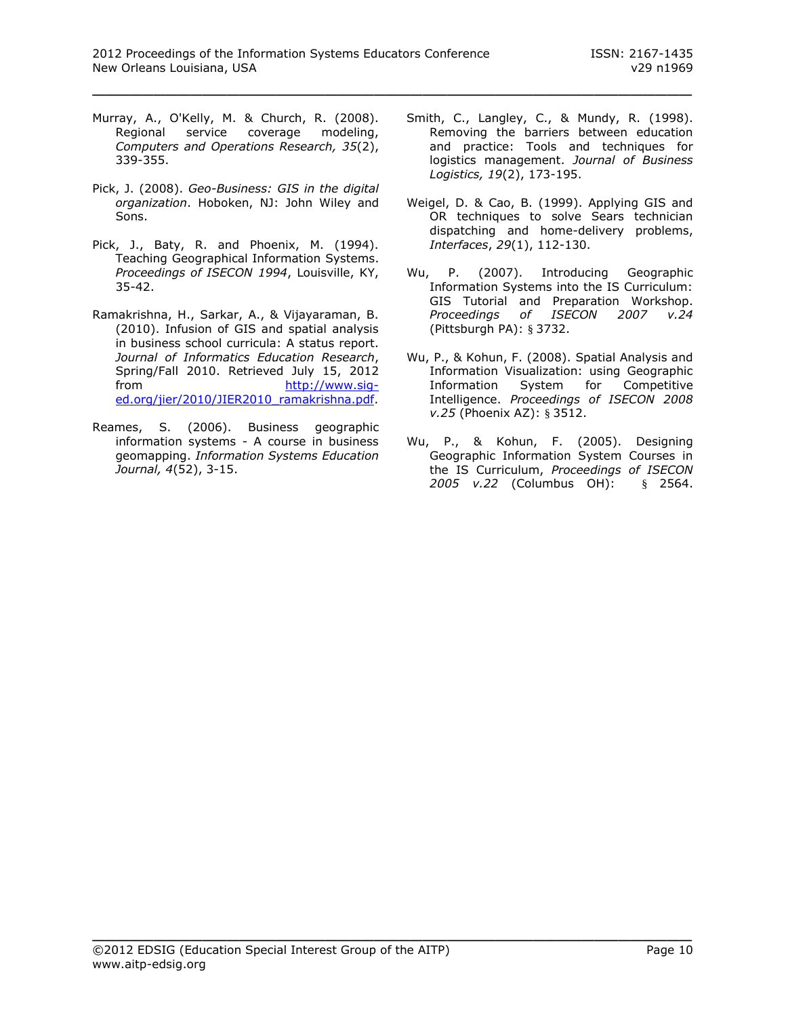- Murray, A., O'Kelly, M. & Church, R. (2008). Regional service coverage modeling, *Computers and Operations Research, 35*(2), 339-355.
- Pick, J. (2008). *Geo-Business: GIS in the digital organization*. Hoboken, NJ: John Wiley and Sons.
- Pick, J., Baty, R. and Phoenix, M. (1994). Teaching Geographical Information Systems. *Proceedings of ISECON 1994*, Louisville, KY, 35-42.
- Ramakrishna, H., Sarkar, A., & Vijayaraman, B. (2010). Infusion of GIS and spatial analysis in business school curricula: A status report. *Journal of Informatics Education Research*, Spring/Fall 2010. Retrieved July 15, 2012 from [http://www.sig](http://www.sig-ed.org/jier/2010/JIER2010_ramakrishna.pdf)[ed.org/jier/2010/JIER2010\\_ramakrishna.pdf.](http://www.sig-ed.org/jier/2010/JIER2010_ramakrishna.pdf)
- Reames, S. (2006). Business geographic information systems - A course in business geomapping. *Information Systems Education Journal, 4*(52), 3-15.
- Smith, C., Langley, C., & Mundy, R. (1998). Removing the barriers between education and practice: Tools and techniques for logistics management. *Journal of Business Logistics, 19*(2), 173-195.
- Weigel, D. & Cao, B. (1999). Applying GIS and OR techniques to solve Sears technician dispatching and home-delivery problems, *Interfaces*, *29*(1), 112-130.
- Wu, P. (2007). Introducing Geographic Information Systems into the IS Curriculum: GIS Tutorial and Preparation Workshop. *Proceedings of ISECON 2007 v.24* (Pittsburgh PA): § 3732.
- Wu, P., & Kohun, F. (2008). Spatial Analysis and Information Visualization: using Geographic Information System for Competitive Intelligence. *Proceedings of ISECON 2008 v.25* (Phoenix AZ): § 3512.
- Wu, P., & Kohun, F. (2005). Designing Geographic Information System Courses in the IS Curriculum, *Proceedings of ISECON 2005 v.22* (Columbus OH): § 2564.